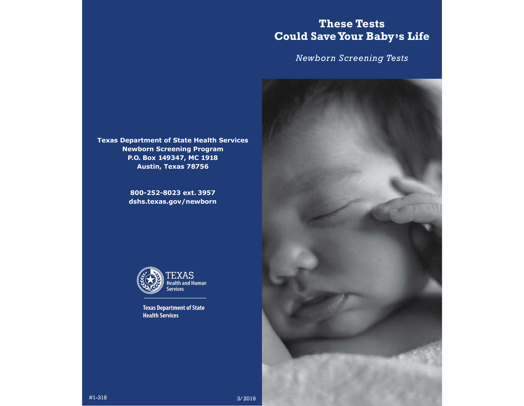# These Tests Could Save Your Baby's Life

Newborn Screening Tests



Texas Department of State Health Services Newborn Screening Program P.O. Box 149347, MC 1918 Austin, Texas 78756

> 800-252-8023 ext. 3957 dshs.texas.gov/newborn



**Texas Department of State Health Services**